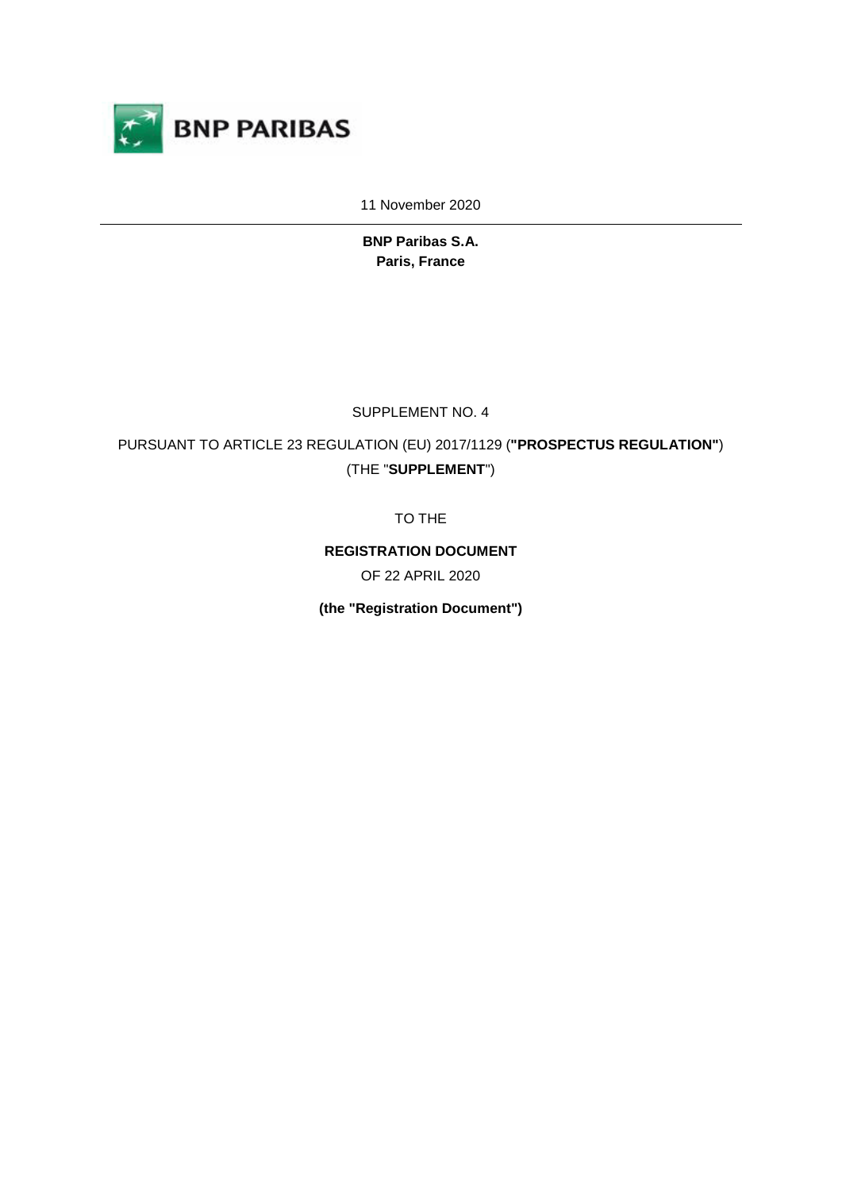

11 November 2020

**BNP Paribas S.A. Paris, France** 

SUPPLEMENT NO. 4

PURSUANT TO ARTICLE 23 REGULATION (EU) 2017/1129 (**"PROSPECTUS REGULATION"**) (THE "**SUPPLEMENT**")

TO THE

**REGISTRATION DOCUMENT** 

OF 22 APRIL 2020

**(the "Registration Document")**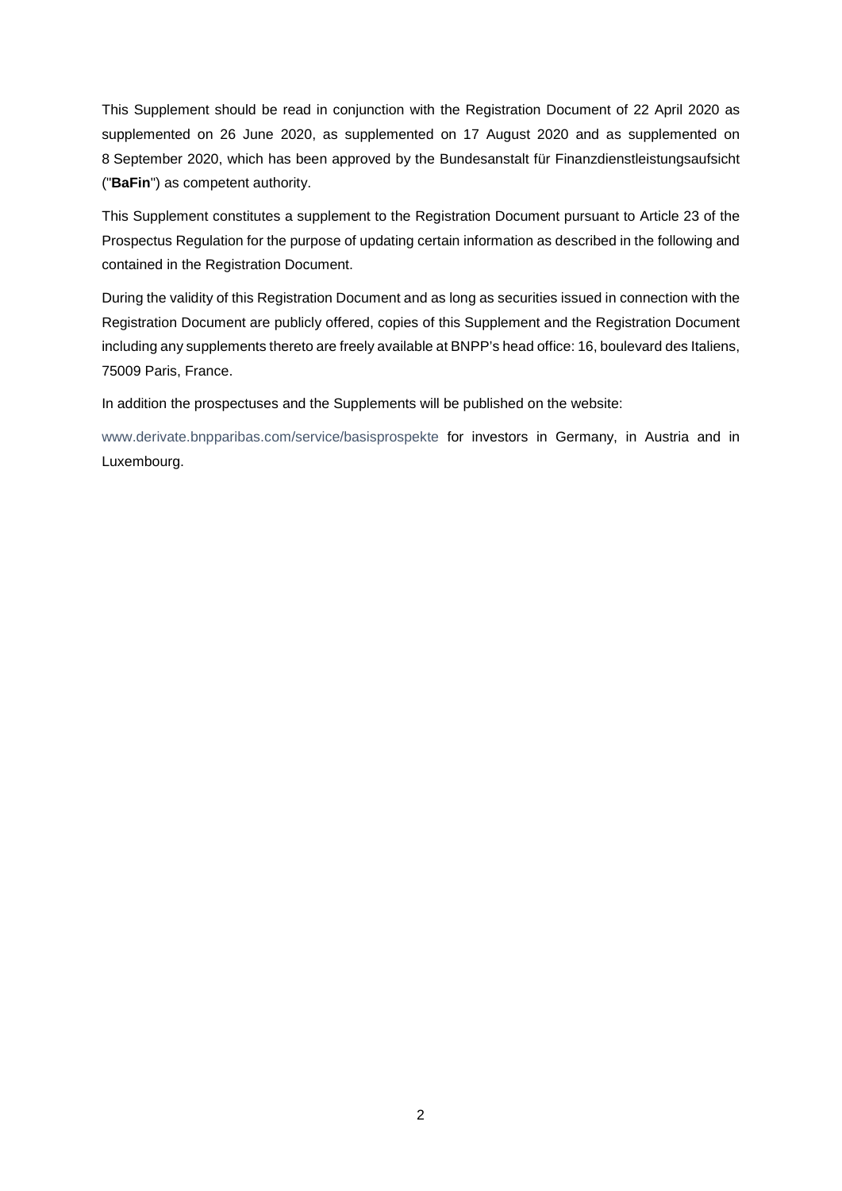This Supplement should be read in conjunction with the Registration Document of 22 April 2020 as supplemented on 26 June 2020, as supplemented on 17 August 2020 and as supplemented on 8 September 2020, which has been approved by the Bundesanstalt für Finanzdienstleistungsaufsicht ("**BaFin**") as competent authority.

This Supplement constitutes a supplement to the Registration Document pursuant to Article 23 of the Prospectus Regulation for the purpose of updating certain information as described in the following and contained in the Registration Document.

During the validity of this Registration Document and as long as securities issued in connection with the Registration Document are publicly offered, copies of this Supplement and the Registration Document including any supplements thereto are freely available at BNPP's head office: 16, boulevard des Italiens, 75009 Paris, France.

In addition the prospectuses and the Supplements will be published on the website:

www.derivate.bnpparibas.com/service/basisprospekte for investors in Germany, in Austria and in Luxembourg.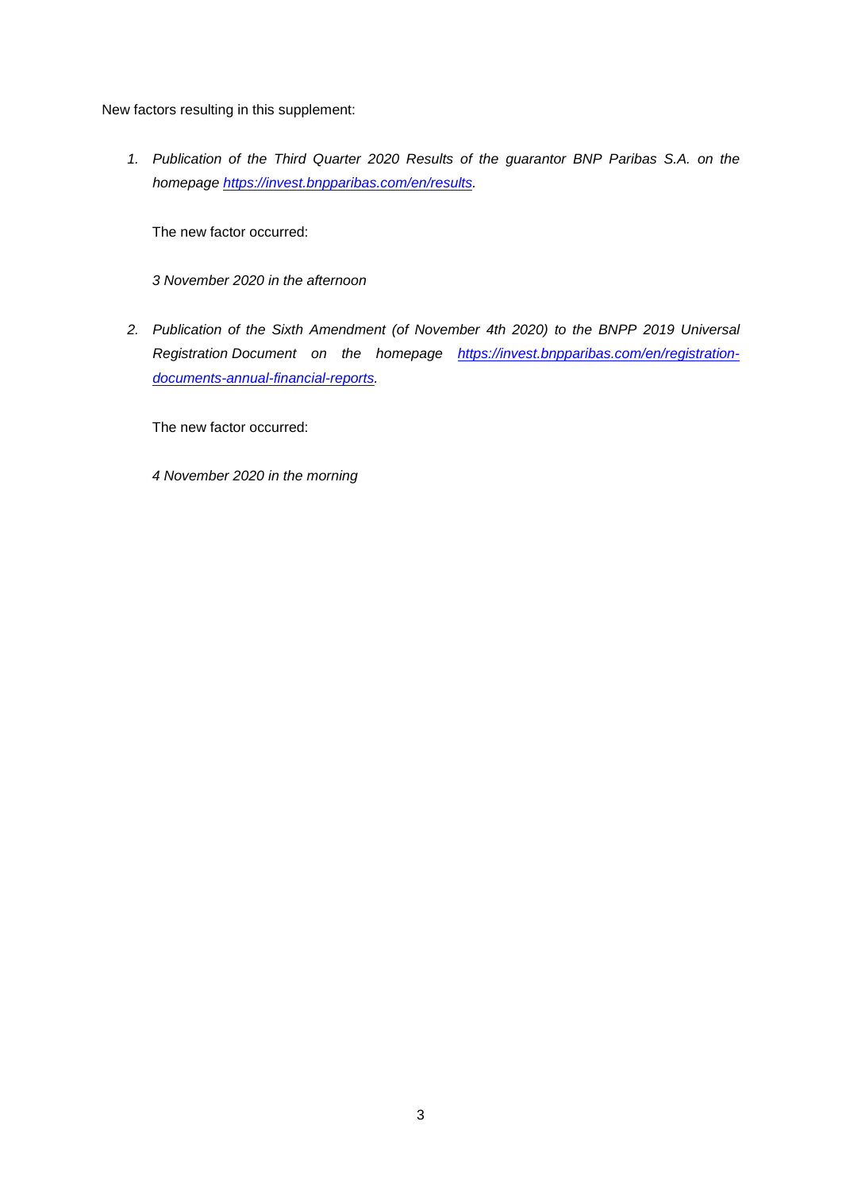New factors resulting in this supplement:

*1. Publication of the Third Quarter 2020 Results of the guarantor BNP Paribas S.A. on the homepage https://invest.bnpparibas.com/en/results.* 

The new factor occurred:

*3 November 2020 in the afternoon* 

*2. Publication of the Sixth Amendment (of November 4th 2020) to the BNPP 2019 Universal Registration Document on the homepage https://invest.bnpparibas.com/en/registrationdocuments-annual-financial-reports.* 

The new factor occurred:

*4 November 2020 in the morning*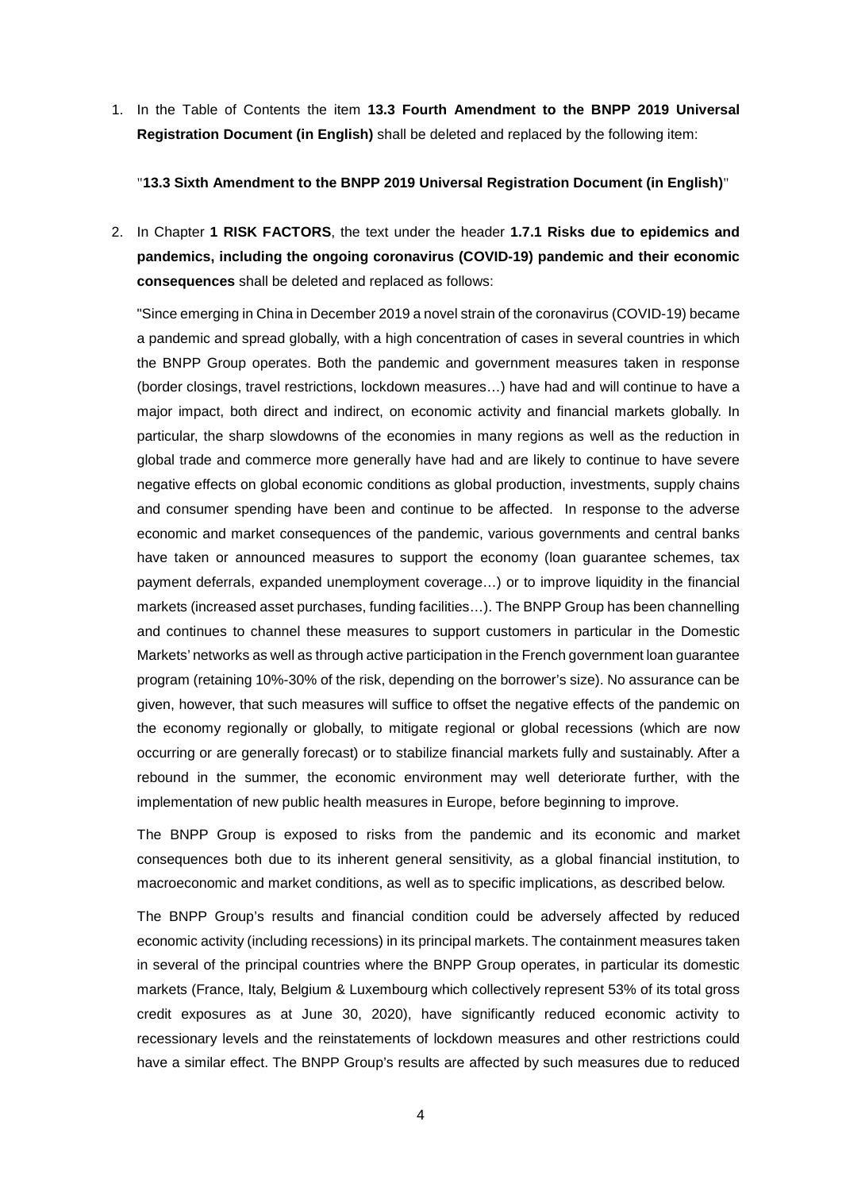1. In the Table of Contents the item **13.3 Fourth Amendment to the BNPP 2019 Universal Registration Document (in English)** shall be deleted and replaced by the following item:

"**13.3 Sixth Amendment to the BNPP 2019 Universal Registration Document (in English)**"

2. In Chapter **1 RISK FACTORS**, the text under the header **1.7.1 Risks due to epidemics and pandemics, including the ongoing coronavirus (COVID-19) pandemic and their economic consequences** shall be deleted and replaced as follows:

"Since emerging in China in December 2019 a novel strain of the coronavirus (COVID-19) became a pandemic and spread globally, with a high concentration of cases in several countries in which the BNPP Group operates. Both the pandemic and government measures taken in response (border closings, travel restrictions, lockdown measures…) have had and will continue to have a major impact, both direct and indirect, on economic activity and financial markets globally. In particular, the sharp slowdowns of the economies in many regions as well as the reduction in global trade and commerce more generally have had and are likely to continue to have severe negative effects on global economic conditions as global production, investments, supply chains and consumer spending have been and continue to be affected. In response to the adverse economic and market consequences of the pandemic, various governments and central banks have taken or announced measures to support the economy (loan guarantee schemes, tax payment deferrals, expanded unemployment coverage…) or to improve liquidity in the financial markets (increased asset purchases, funding facilities…). The BNPP Group has been channelling and continues to channel these measures to support customers in particular in the Domestic Markets' networks as well as through active participation in the French government loan guarantee program (retaining 10%-30% of the risk, depending on the borrower's size). No assurance can be given, however, that such measures will suffice to offset the negative effects of the pandemic on the economy regionally or globally, to mitigate regional or global recessions (which are now occurring or are generally forecast) or to stabilize financial markets fully and sustainably. After a rebound in the summer, the economic environment may well deteriorate further, with the implementation of new public health measures in Europe, before beginning to improve.

The BNPP Group is exposed to risks from the pandemic and its economic and market consequences both due to its inherent general sensitivity, as a global financial institution, to macroeconomic and market conditions, as well as to specific implications, as described below.

The BNPP Group's results and financial condition could be adversely affected by reduced economic activity (including recessions) in its principal markets. The containment measures taken in several of the principal countries where the BNPP Group operates, in particular its domestic markets (France, Italy, Belgium & Luxembourg which collectively represent 53% of its total gross credit exposures as at June 30, 2020), have significantly reduced economic activity to recessionary levels and the reinstatements of lockdown measures and other restrictions could have a similar effect. The BNPP Group's results are affected by such measures due to reduced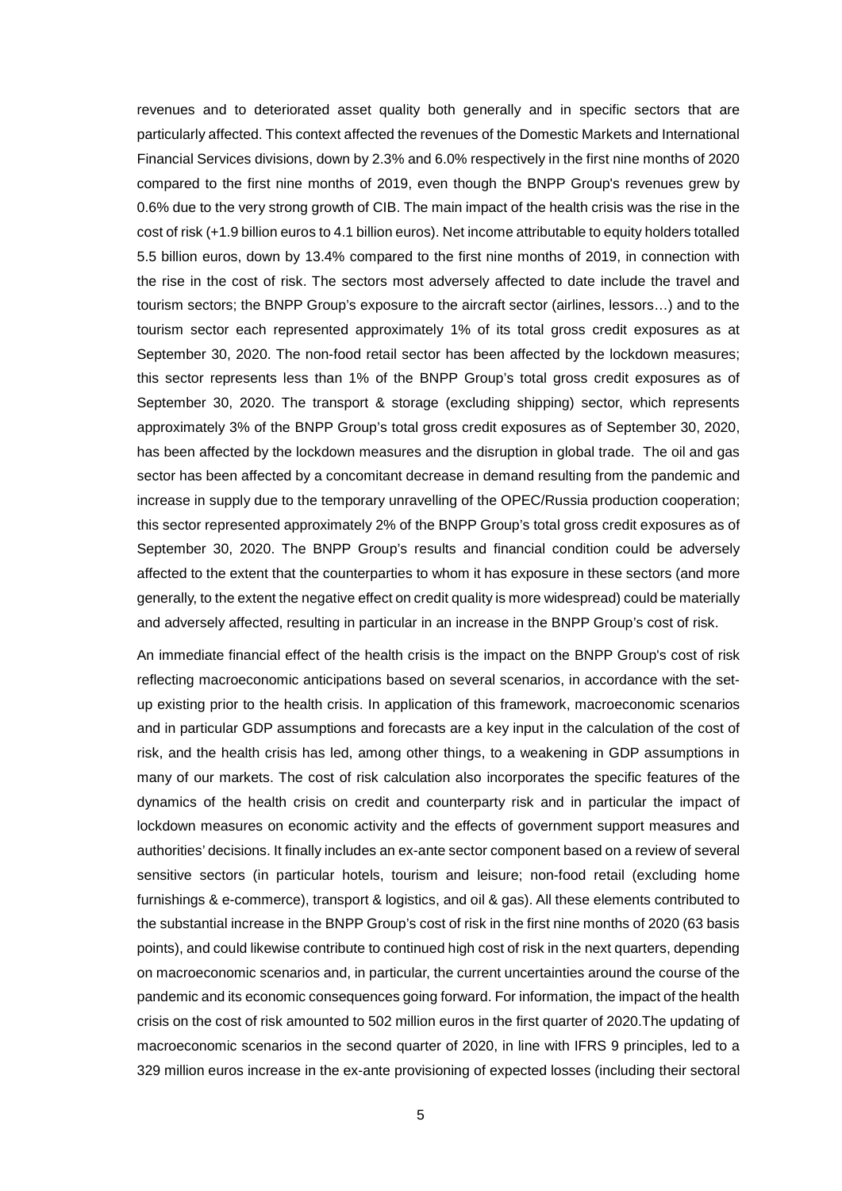revenues and to deteriorated asset quality both generally and in specific sectors that are particularly affected. This context affected the revenues of the Domestic Markets and International Financial Services divisions, down by 2.3% and 6.0% respectively in the first nine months of 2020 compared to the first nine months of 2019, even though the BNPP Group's revenues grew by 0.6% due to the very strong growth of CIB. The main impact of the health crisis was the rise in the cost of risk (+1.9 billion euros to 4.1 billion euros). Net income attributable to equity holders totalled 5.5 billion euros, down by 13.4% compared to the first nine months of 2019, in connection with the rise in the cost of risk. The sectors most adversely affected to date include the travel and tourism sectors; the BNPP Group's exposure to the aircraft sector (airlines, lessors…) and to the tourism sector each represented approximately 1% of its total gross credit exposures as at September 30, 2020. The non-food retail sector has been affected by the lockdown measures; this sector represents less than 1% of the BNPP Group's total gross credit exposures as of September 30, 2020. The transport & storage (excluding shipping) sector, which represents approximately 3% of the BNPP Group's total gross credit exposures as of September 30, 2020, has been affected by the lockdown measures and the disruption in global trade. The oil and gas sector has been affected by a concomitant decrease in demand resulting from the pandemic and increase in supply due to the temporary unravelling of the OPEC/Russia production cooperation; this sector represented approximately 2% of the BNPP Group's total gross credit exposures as of September 30, 2020. The BNPP Group's results and financial condition could be adversely affected to the extent that the counterparties to whom it has exposure in these sectors (and more generally, to the extent the negative effect on credit quality is more widespread) could be materially and adversely affected, resulting in particular in an increase in the BNPP Group's cost of risk.

An immediate financial effect of the health crisis is the impact on the BNPP Group's cost of risk reflecting macroeconomic anticipations based on several scenarios, in accordance with the setup existing prior to the health crisis. In application of this framework, macroeconomic scenarios and in particular GDP assumptions and forecasts are a key input in the calculation of the cost of risk, and the health crisis has led, among other things, to a weakening in GDP assumptions in many of our markets. The cost of risk calculation also incorporates the specific features of the dynamics of the health crisis on credit and counterparty risk and in particular the impact of lockdown measures on economic activity and the effects of government support measures and authorities' decisions. It finally includes an ex-ante sector component based on a review of several sensitive sectors (in particular hotels, tourism and leisure; non-food retail (excluding home furnishings & e-commerce), transport & logistics, and oil & gas). All these elements contributed to the substantial increase in the BNPP Group's cost of risk in the first nine months of 2020 (63 basis points), and could likewise contribute to continued high cost of risk in the next quarters, depending on macroeconomic scenarios and, in particular, the current uncertainties around the course of the pandemic and its economic consequences going forward. For information, the impact of the health crisis on the cost of risk amounted to 502 million euros in the first quarter of 2020.The updating of macroeconomic scenarios in the second quarter of 2020, in line with IFRS 9 principles, led to a 329 million euros increase in the ex-ante provisioning of expected losses (including their sectoral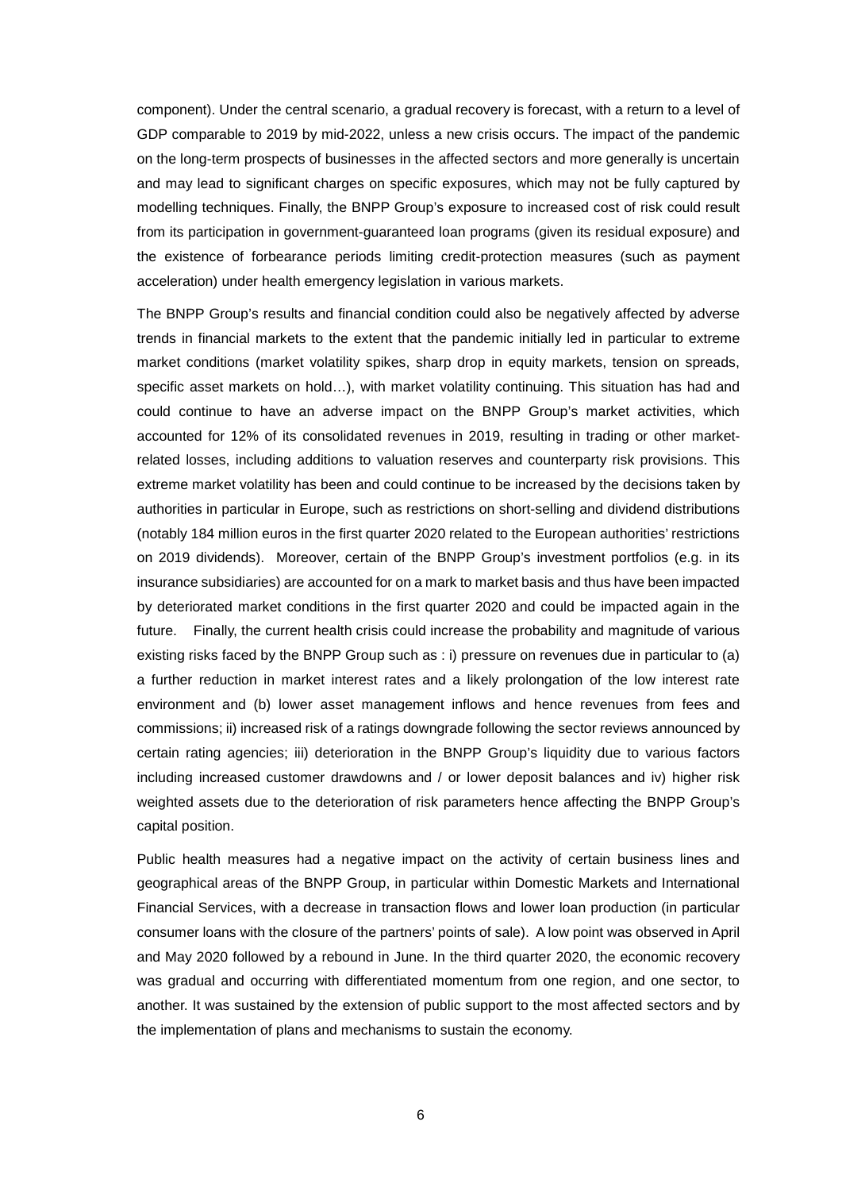component). Under the central scenario, a gradual recovery is forecast, with a return to a level of GDP comparable to 2019 by mid-2022, unless a new crisis occurs. The impact of the pandemic on the long-term prospects of businesses in the affected sectors and more generally is uncertain and may lead to significant charges on specific exposures, which may not be fully captured by modelling techniques. Finally, the BNPP Group's exposure to increased cost of risk could result from its participation in government-guaranteed loan programs (given its residual exposure) and the existence of forbearance periods limiting credit-protection measures (such as payment acceleration) under health emergency legislation in various markets.

The BNPP Group's results and financial condition could also be negatively affected by adverse trends in financial markets to the extent that the pandemic initially led in particular to extreme market conditions (market volatility spikes, sharp drop in equity markets, tension on spreads, specific asset markets on hold…), with market volatility continuing. This situation has had and could continue to have an adverse impact on the BNPP Group's market activities, which accounted for 12% of its consolidated revenues in 2019, resulting in trading or other marketrelated losses, including additions to valuation reserves and counterparty risk provisions. This extreme market volatility has been and could continue to be increased by the decisions taken by authorities in particular in Europe, such as restrictions on short-selling and dividend distributions (notably 184 million euros in the first quarter 2020 related to the European authorities' restrictions on 2019 dividends). Moreover, certain of the BNPP Group's investment portfolios (e.g. in its insurance subsidiaries) are accounted for on a mark to market basis and thus have been impacted by deteriorated market conditions in the first quarter 2020 and could be impacted again in the future. Finally, the current health crisis could increase the probability and magnitude of various existing risks faced by the BNPP Group such as : i) pressure on revenues due in particular to (a) a further reduction in market interest rates and a likely prolongation of the low interest rate environment and (b) lower asset management inflows and hence revenues from fees and commissions; ii) increased risk of a ratings downgrade following the sector reviews announced by certain rating agencies; iii) deterioration in the BNPP Group's liquidity due to various factors including increased customer drawdowns and / or lower deposit balances and iv) higher risk weighted assets due to the deterioration of risk parameters hence affecting the BNPP Group's capital position.

Public health measures had a negative impact on the activity of certain business lines and geographical areas of the BNPP Group, in particular within Domestic Markets and International Financial Services, with a decrease in transaction flows and lower loan production (in particular consumer loans with the closure of the partners' points of sale). A low point was observed in April and May 2020 followed by a rebound in June. In the third quarter 2020, the economic recovery was gradual and occurring with differentiated momentum from one region, and one sector, to another. It was sustained by the extension of public support to the most affected sectors and by the implementation of plans and mechanisms to sustain the economy.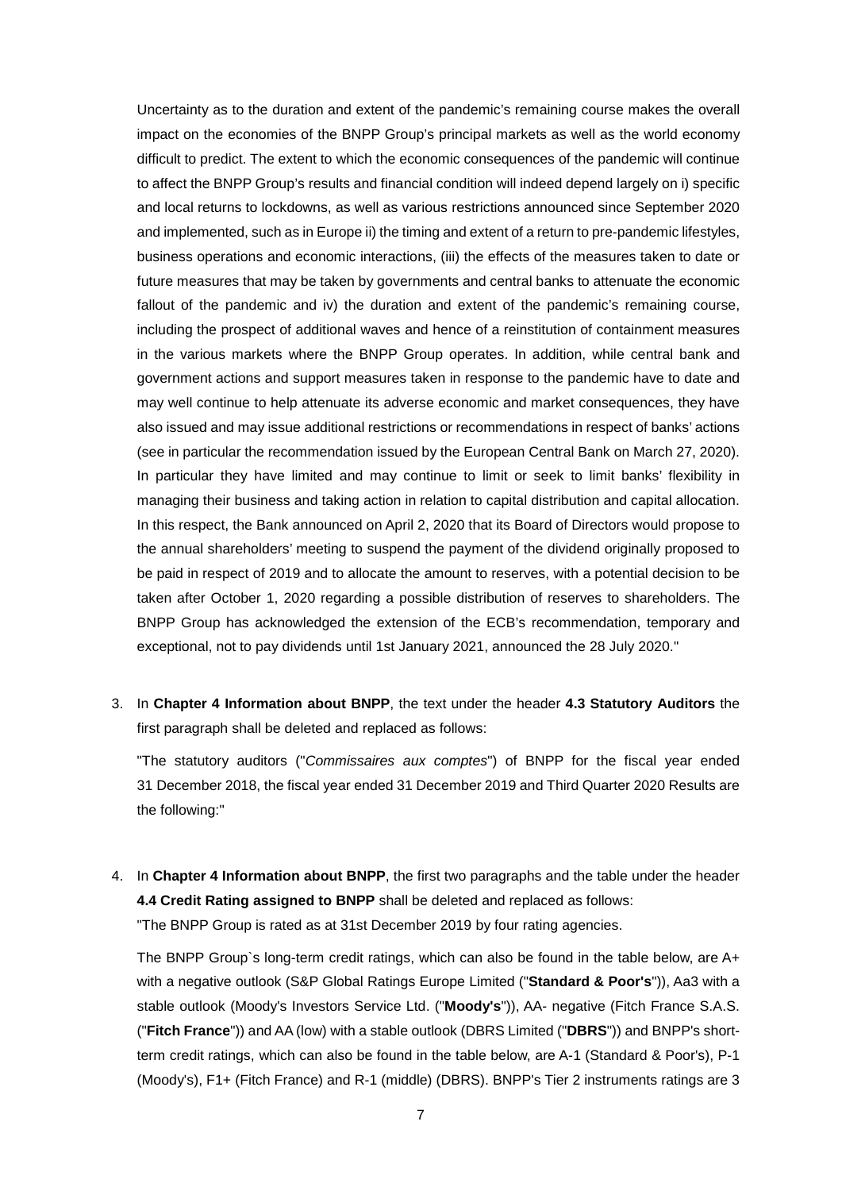Uncertainty as to the duration and extent of the pandemic's remaining course makes the overall impact on the economies of the BNPP Group's principal markets as well as the world economy difficult to predict. The extent to which the economic consequences of the pandemic will continue to affect the BNPP Group's results and financial condition will indeed depend largely on i) specific and local returns to lockdowns, as well as various restrictions announced since September 2020 and implemented, such as in Europe ii) the timing and extent of a return to pre-pandemic lifestyles, business operations and economic interactions, (iii) the effects of the measures taken to date or future measures that may be taken by governments and central banks to attenuate the economic fallout of the pandemic and iv) the duration and extent of the pandemic's remaining course, including the prospect of additional waves and hence of a reinstitution of containment measures in the various markets where the BNPP Group operates. In addition, while central bank and government actions and support measures taken in response to the pandemic have to date and may well continue to help attenuate its adverse economic and market consequences, they have also issued and may issue additional restrictions or recommendations in respect of banks' actions (see in particular the recommendation issued by the European Central Bank on March 27, 2020). In particular they have limited and may continue to limit or seek to limit banks' flexibility in managing their business and taking action in relation to capital distribution and capital allocation. In this respect, the Bank announced on April 2, 2020 that its Board of Directors would propose to the annual shareholders' meeting to suspend the payment of the dividend originally proposed to be paid in respect of 2019 and to allocate the amount to reserves, with a potential decision to be taken after October 1, 2020 regarding a possible distribution of reserves to shareholders. The BNPP Group has acknowledged the extension of the ECB's recommendation, temporary and exceptional, not to pay dividends until 1st January 2021, announced the 28 July 2020."

3. In **Chapter 4 Information about BNPP**, the text under the header **4.3 Statutory Auditors** the first paragraph shall be deleted and replaced as follows:

"The statutory auditors ("*Commissaires aux comptes*") of BNPP for the fiscal year ended 31 December 2018, the fiscal year ended 31 December 2019 and Third Quarter 2020 Results are the following:"

4. In **Chapter 4 Information about BNPP**, the first two paragraphs and the table under the header **4.4 Credit Rating assigned to BNPP** shall be deleted and replaced as follows: "The BNPP Group is rated as at 31st December 2019 by four rating agencies.

The BNPP Group`s long-term credit ratings, which can also be found in the table below, are A+ with a negative outlook (S&P Global Ratings Europe Limited ("**Standard & Poor's**")), Aa3 with a stable outlook (Moody's Investors Service Ltd. ("**Moody's**")), AA- negative (Fitch France S.A.S. ("**Fitch France**")) and AA (low) with a stable outlook (DBRS Limited ("**DBRS**")) and BNPP's shortterm credit ratings, which can also be found in the table below, are A-1 (Standard & Poor's), P-1 (Moody's), F1+ (Fitch France) and R-1 (middle) (DBRS). BNPP's Tier 2 instruments ratings are 3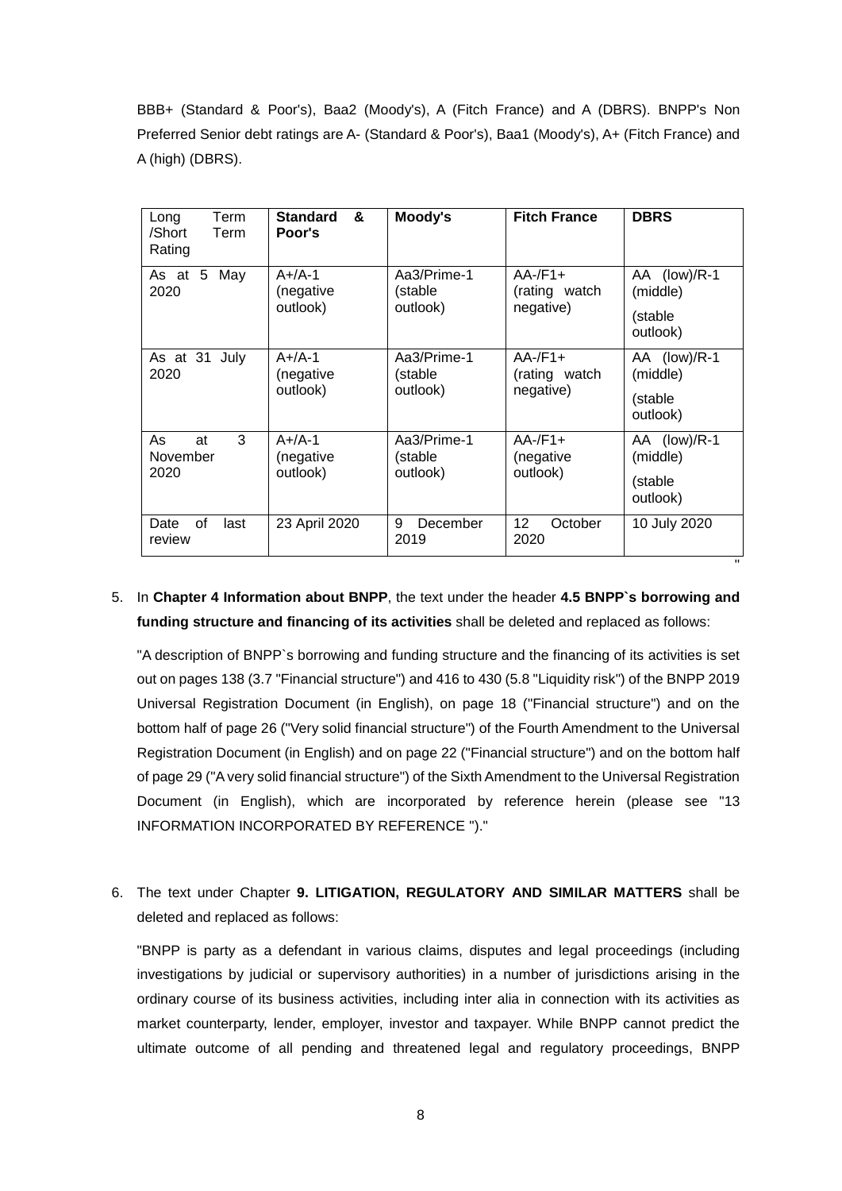BBB+ (Standard & Poor's), Baa2 (Moody's), A (Fitch France) and A (DBRS). BNPP's Non Preferred Senior debt ratings are A- (Standard & Poor's), Baa1 (Moody's), A+ (Fitch France) and A (high) (DBRS).

| Term<br>Long<br>/Short<br>Term<br>Rating | <b>Standard</b><br>&<br>Poor's    | Moody's                            | <b>Fitch France</b>                      | <b>DBRS</b>                                      |
|------------------------------------------|-----------------------------------|------------------------------------|------------------------------------------|--------------------------------------------------|
| As at<br>May<br>5 <sup>1</sup><br>2020   | $A+/A-1$<br>(negative<br>outlook) | Aa3/Prime-1<br>(stable<br>outlook) | $AA$ -/F1+<br>(rating watch<br>negative) | AA (low)/R-1<br>(middle)<br>(stable<br>outlook)  |
| As at 31 July<br>2020                    | $A+/A-1$<br>(negative<br>outlook) | Aa3/Prime-1<br>(stable<br>outlook) | $AA$ -/F1+<br>(rating watch<br>negative) | AA (low)/R-1<br>(middle)<br>(stable)<br>outlook) |
| 3<br>As<br>at<br>November<br>2020        | $A+/A-1$<br>(negative<br>outlook) | Aa3/Prime-1<br>(stable<br>outlook) | $AA$ -/F1+<br>(negative<br>outlook)      | AA (low)/R-1<br>(middle)<br>(stable<br>outlook)  |
| οf<br>Date<br>last<br>review             | 23 April 2020                     | 9<br>December<br>2019              | 12<br>October<br>2020                    | 10 July 2020<br>п.                               |

## 5. In **Chapter 4 Information about BNPP**, the text under the header **4.5 BNPP`s borrowing and funding structure and financing of its activities** shall be deleted and replaced as follows:

"A description of BNPP`s borrowing and funding structure and the financing of its activities is set out on pages 138 (3.7 "Financial structure") and 416 to 430 (5.8 "Liquidity risk") of the BNPP 2019 Universal Registration Document (in English), on page 18 ("Financial structure") and on the bottom half of page 26 ("Very solid financial structure") of the Fourth Amendment to the Universal Registration Document (in English) and on page 22 ("Financial structure") and on the bottom half of page 29 ("A very solid financial structure") of the Sixth Amendment to the Universal Registration Document (in English), which are incorporated by reference herein (please see "13 INFORMATION INCORPORATED BY REFERENCE ")."

6. The text under Chapter **9. LITIGATION, REGULATORY AND SIMILAR MATTERS** shall be deleted and replaced as follows:

"BNPP is party as a defendant in various claims, disputes and legal proceedings (including investigations by judicial or supervisory authorities) in a number of jurisdictions arising in the ordinary course of its business activities, including inter alia in connection with its activities as market counterparty, lender, employer, investor and taxpayer. While BNPP cannot predict the ultimate outcome of all pending and threatened legal and regulatory proceedings, BNPP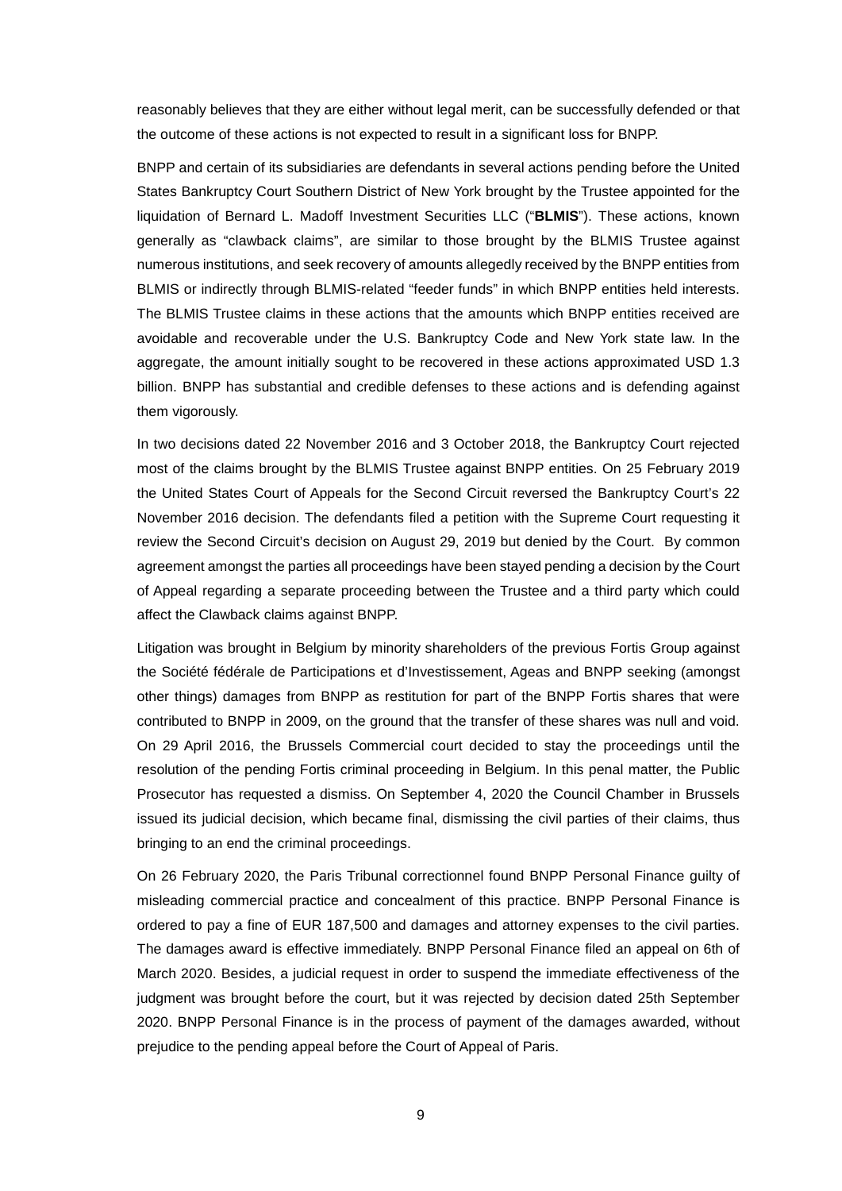reasonably believes that they are either without legal merit, can be successfully defended or that the outcome of these actions is not expected to result in a significant loss for BNPP.

BNPP and certain of its subsidiaries are defendants in several actions pending before the United States Bankruptcy Court Southern District of New York brought by the Trustee appointed for the liquidation of Bernard L. Madoff Investment Securities LLC ("**BLMIS**"). These actions, known generally as "clawback claims", are similar to those brought by the BLMIS Trustee against numerous institutions, and seek recovery of amounts allegedly received by the BNPP entities from BLMIS or indirectly through BLMIS-related "feeder funds" in which BNPP entities held interests. The BLMIS Trustee claims in these actions that the amounts which BNPP entities received are avoidable and recoverable under the U.S. Bankruptcy Code and New York state law. In the aggregate, the amount initially sought to be recovered in these actions approximated USD 1.3 billion. BNPP has substantial and credible defenses to these actions and is defending against them vigorously.

In two decisions dated 22 November 2016 and 3 October 2018, the Bankruptcy Court rejected most of the claims brought by the BLMIS Trustee against BNPP entities. On 25 February 2019 the United States Court of Appeals for the Second Circuit reversed the Bankruptcy Court's 22 November 2016 decision. The defendants filed a petition with the Supreme Court requesting it review the Second Circuit's decision on August 29, 2019 but denied by the Court. By common agreement amongst the parties all proceedings have been stayed pending a decision by the Court of Appeal regarding a separate proceeding between the Trustee and a third party which could affect the Clawback claims against BNPP.

Litigation was brought in Belgium by minority shareholders of the previous Fortis Group against the Société fédérale de Participations et d'Investissement, Ageas and BNPP seeking (amongst other things) damages from BNPP as restitution for part of the BNPP Fortis shares that were contributed to BNPP in 2009, on the ground that the transfer of these shares was null and void. On 29 April 2016, the Brussels Commercial court decided to stay the proceedings until the resolution of the pending Fortis criminal proceeding in Belgium. In this penal matter, the Public Prosecutor has requested a dismiss. On September 4, 2020 the Council Chamber in Brussels issued its judicial decision, which became final, dismissing the civil parties of their claims, thus bringing to an end the criminal proceedings.

On 26 February 2020, the Paris Tribunal correctionnel found BNPP Personal Finance guilty of misleading commercial practice and concealment of this practice. BNPP Personal Finance is ordered to pay a fine of EUR 187,500 and damages and attorney expenses to the civil parties. The damages award is effective immediately. BNPP Personal Finance filed an appeal on 6th of March 2020. Besides, a judicial request in order to suspend the immediate effectiveness of the judgment was brought before the court, but it was rejected by decision dated 25th September 2020. BNPP Personal Finance is in the process of payment of the damages awarded, without prejudice to the pending appeal before the Court of Appeal of Paris.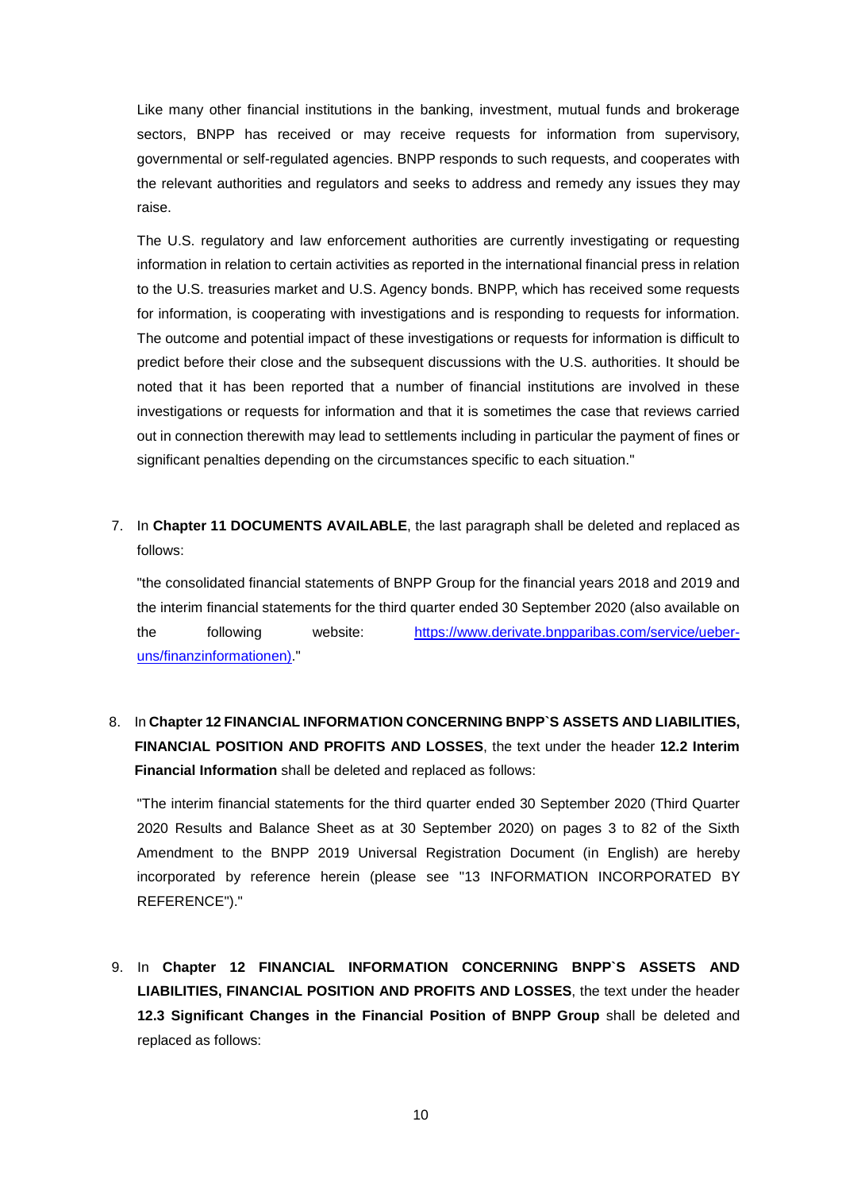Like many other financial institutions in the banking, investment, mutual funds and brokerage sectors, BNPP has received or may receive requests for information from supervisory, governmental or self-regulated agencies. BNPP responds to such requests, and cooperates with the relevant authorities and regulators and seeks to address and remedy any issues they may raise.

The U.S. regulatory and law enforcement authorities are currently investigating or requesting information in relation to certain activities as reported in the international financial press in relation to the U.S. treasuries market and U.S. Agency bonds. BNPP, which has received some requests for information, is cooperating with investigations and is responding to requests for information. The outcome and potential impact of these investigations or requests for information is difficult to predict before their close and the subsequent discussions with the U.S. authorities. It should be noted that it has been reported that a number of financial institutions are involved in these investigations or requests for information and that it is sometimes the case that reviews carried out in connection therewith may lead to settlements including in particular the payment of fines or significant penalties depending on the circumstances specific to each situation."

7. In **Chapter 11 DOCUMENTS AVAILABLE**, the last paragraph shall be deleted and replaced as follows:

"the consolidated financial statements of BNPP Group for the financial years 2018 and 2019 and the interim financial statements for the third quarter ended 30 September 2020 (also available on the following website: https://www.derivate.bnpparibas.com/service/ueberuns/finanzinformationen)."

8. In **Chapter 12 FINANCIAL INFORMATION CONCERNING BNPP`S ASSETS AND LIABILITIES, FINANCIAL POSITION AND PROFITS AND LOSSES**, the text under the header **12.2 Interim Financial Information** shall be deleted and replaced as follows:

"The interim financial statements for the third quarter ended 30 September 2020 (Third Quarter 2020 Results and Balance Sheet as at 30 September 2020) on pages 3 to 82 of the Sixth Amendment to the BNPP 2019 Universal Registration Document (in English) are hereby incorporated by reference herein (please see "13 INFORMATION INCORPORATED BY REFERENCE")."

9. In **Chapter 12 FINANCIAL INFORMATION CONCERNING BNPP`S ASSETS AND LIABILITIES, FINANCIAL POSITION AND PROFITS AND LOSSES**, the text under the header **12.3 Significant Changes in the Financial Position of BNPP Group** shall be deleted and replaced as follows: